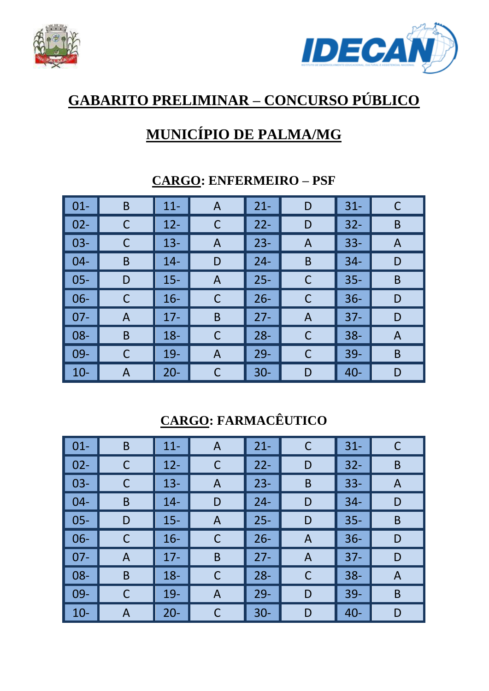



# **GABARITO PRELIMINAR – CONCURSO PÚBLICO**

## **MUNICÍPIO DE PALMA/MG**

| $\vert$ 01- | B | $11 -$ | A | $21 -$ | D              | $31 -$ | C |
|-------------|---|--------|---|--------|----------------|--------|---|
| $02 -$      | C | $12 -$ | C | $22 -$ | D              | $32 -$ | B |
| $03 -$      | C | $13 -$ | A | $23 -$ | A              | $33 -$ | A |
| $04 -$      | B | $14 -$ | D | $24 -$ | B              | $34 -$ | D |
| $05 -$      | D | $15 -$ | A | $25 -$ | $\mathsf{C}$   | $35 -$ | B |
| $06 -$      | C | $16 -$ | С | $26 -$ | $\mathsf{C}$   | $36 -$ | D |
| $07 -$      | A | $17 -$ | B | $27 -$ | $\overline{A}$ | $37 -$ | D |
| $08 -$      | B | $18 -$ | C | $28 -$ | $\mathsf{C}$   | $38 -$ | A |
| $09-$       | C | $19-$  | A | $29 -$ | $\mathsf{C}$   | $39 -$ | B |
| $10-$       | A | $20 -$ | C | $30 -$ | D              | $40 -$ | D |

#### **CARGO: ENFERMEIRO – PSF**

**CARGO: FARMACÊUTICO** 

| $\vert$ 01- | B | $11 -$ | A | $21 -$ | $\mathsf C$ | $31 -$ | C |
|-------------|---|--------|---|--------|-------------|--------|---|
| $02 -$      | C | $12 -$ | С | $22 -$ | D           | $32 -$ | B |
| $03-$       | C | $13 -$ | A | $23 -$ | B           | $33 -$ | A |
| $04-$       | B | $14 -$ | D | $24 -$ | D           | $34 -$ | D |
| $05 -$      | D | $15 -$ | A | $25 -$ | D           | $35 -$ | B |
| $06-$       | C | $16 -$ | C | $26 -$ | A           | $36 -$ | D |
| $07 -$      | A | $17 -$ | B | $27 -$ | A           | $37 -$ | D |
| $08 -$      | B | $18 -$ | С | $28 -$ | C           | $38 -$ | A |
| 09-         | C | $19-$  | A | $29 -$ | D           | $39-$  | B |
| $10-$       | A | $20 -$ | C | $30 -$ | D           | $40 -$ | D |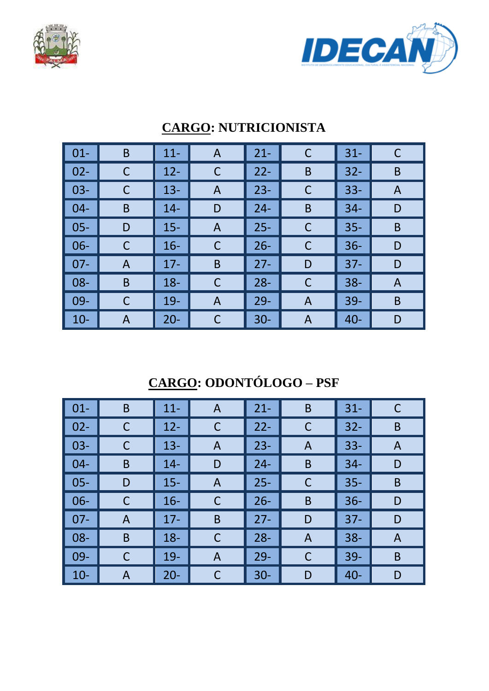



| $\vert$ 01- | B | $11 -$ | $\mathsf{A}$ | $21 -$ | C | $31 -$ |   |
|-------------|---|--------|--------------|--------|---|--------|---|
| $\vert$ 02- | С | $12 -$ | C            | $22 -$ | B | $32 -$ | B |
| $\vert$ 03- | C | $13 -$ | A            | $23 -$ | C | $33 -$ | A |
| $\vert$ 04- | B | $14 -$ | D            | $24 -$ | B | $34 -$ | D |
| $\vert$ 05- | D | $15 -$ | A            | $25 -$ | C | $35 -$ | B |
| $\vert$ 06- | C | $16 -$ | C            | $26 -$ | C | $36 -$ | D |
| $\vert$ 07- | A | $17 -$ | B            | $27 -$ | D | $37 -$ | D |
| $\vert$ 08- | B | $18 -$ | $\mathsf C$  | $28 -$ | C | $38 -$ | A |
| $\vert$ 09- | C | $19 -$ | A            | $29 -$ | A | $39 -$ | B |
| $\vert$ 10- | A | $20 -$ | C            | $30 -$ | A | $40 -$ | D |

#### **CARGO: NUTRICIONISTA**

**CARGO: ODONTÓLOGO – PSF** 

| $\vert$ 01- | B | $11 -$ | $\mathsf{A}$ | $21 -$ | B           | $31 -$ | C |
|-------------|---|--------|--------------|--------|-------------|--------|---|
| $02 -$      | C | $12 -$ | $\mathsf C$  | $22 -$ | $\mathsf C$ | $32 -$ | B |
| $03 -$      | C | $13 -$ | A            | $23 -$ | A           | $33 -$ | A |
| $04 -$      | B | $14 -$ | D            | $24 -$ | B           | $34 -$ | D |
| $05 -$      | D | $15 -$ | A            | $25 -$ | C           | $35 -$ | B |
| $06 -$      | C | $16 -$ | C            | $26 -$ | B           | $36 -$ | D |
| $07 -$      | A | $17 -$ | B            | $27 -$ | D           | $37 -$ | D |
| $08 -$      | B | $18 -$ | C            | $28 -$ | A           | $38 -$ | A |
| $09-$       | C | $19-$  | A            | $29 -$ | C           | $39 -$ | B |
| $10 -$      | A | $20 -$ | C            | $30 -$ | D           | $40 -$ | D |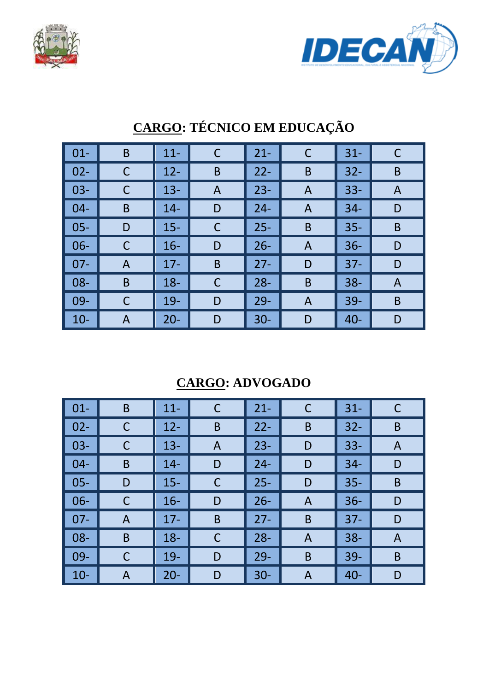



| $01 -$ | B | $11 -$ | $\mathsf C$ | $21 -$ | C | $31 -$ | C |
|--------|---|--------|-------------|--------|---|--------|---|
| $02 -$ |   | $12 -$ | B           | $22 -$ | B | $32 -$ | B |
| $03 -$ | С | $13 -$ | A           | $23 -$ | A | $33 -$ | A |
| $04 -$ | B | $14 -$ | D           | $24 -$ | A | $34 -$ | D |
| $05 -$ | D | $15 -$ | $\mathsf C$ | $25 -$ | B | $35 -$ | B |
| 06-    |   | $16 -$ | D           | $26 -$ | A | $36 -$ | D |
| $07 -$ | A | $17 -$ | B           | $27 -$ | D | $37 -$ | D |
| $08 -$ | B | $18 -$ | $\mathsf C$ | $28 -$ | B | $38 -$ | A |
| 09-    |   | $19 -$ | D           | $29 -$ | A | 39-    | B |
| $10 -$ | A | $20 -$ | D           | $30 -$ | D | $40 -$ | D |

# **CARGO: TÉCNICO EM EDUCAÇÃO**

**CARGO: ADVOGADO** 

| $\vert$ 01- | B | $11 -$ | C              | $21 -$ | C | $31 -$ | С |
|-------------|---|--------|----------------|--------|---|--------|---|
| $\vert$ 02- |   | $12 -$ | B              | $22 -$ | B | $32 -$ | B |
| $\vert$ 03- |   | $13 -$ | $\overline{A}$ | $23 -$ | D | $33 -$ | A |
| $\vert$ 04- | B | $14 -$ | D              | $24 -$ | D | $34 -$ | D |
| $\vert$ 05- | D | $15 -$ | C              | $25 -$ | D | $35 -$ | B |
| $\vert$ 06- |   | $16 -$ | D              | $26 -$ | A | $36 -$ | D |
| $\vert$ 07- | A | $17 -$ | B              | $27 -$ | B | $37 -$ | D |
| $\vert$ 08- | B | $18 -$ | C              | $28 -$ | A | $38 -$ | A |
| $\vert$ 09- | С | $19-$  | D              | $29 -$ | B | $39 -$ | B |
| $\vert$ 10- | A | $20 -$ | D              | $30 -$ | A | $40 -$ | D |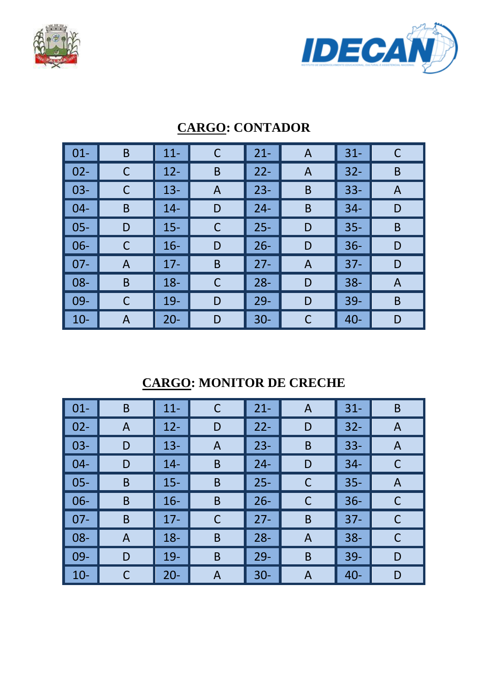



| $01 -$ | B | $11 -$ | C | $21 -$ | A | $31 -$ | С |
|--------|---|--------|---|--------|---|--------|---|
| $02 -$ | С | $12 -$ | B | $22 -$ | A | $32 -$ | B |
| $03 -$ | С | $13 -$ | A | $23 -$ | B | $33 -$ | A |
| $04 -$ | B | $14 -$ | D | $24 -$ | B | $34 -$ | D |
| $05 -$ | D | $15 -$ | C | $25 -$ | D | $35 -$ | B |
| $06 -$ | С | $16 -$ | D | $26 -$ | D | $36 -$ | D |
| $07 -$ | A | $17 -$ | B | $27 -$ | A | $37 -$ | D |
| $08 -$ | B | $18 -$ | C | $28 -$ | D | $38 -$ | A |
| $09 -$ | C | $19 -$ | D | $29 -$ | D | $39 -$ | B |
| $10 -$ | Α | $20 -$ | D | $30 -$ | C | $40 -$ | D |

#### **CARGO: CONTADOR**

#### **CARGO: MONITOR DE CRECHE**

| $\vert$ 01- | B | $11 -$ | C | $21 -$ | A | $31 -$ | B |
|-------------|---|--------|---|--------|---|--------|---|
| $\vert$ 02- | A | $12 -$ | D | $22 -$ | D | $32 -$ | A |
| $\vert$ 03- | D | $13 -$ | A | $23 -$ | B | $33 -$ | A |
| $\vert$ 04- | D | $14 -$ | B | $24 -$ | D | $34 -$ | С |
| $\vert$ 05- | B | $15 -$ | B | $25 -$ | C | $35 -$ | A |
| $\vert$ 06- | B | $16 -$ | B | $26 -$ | C | $36 -$ | C |
| $\vert$ 07- | B | $17 -$ | C | $27 -$ | B | $37 -$ |   |
| $\vert$ 08- | A | $18 -$ | B | $28 -$ | A | $38 -$ | C |
| $\vert$ 09- | D | $19-$  | B | $29 -$ | B | $39 -$ | D |
| $\vert$ 10- |   | $20 -$ | A | $30 -$ | A | $40 -$ | D |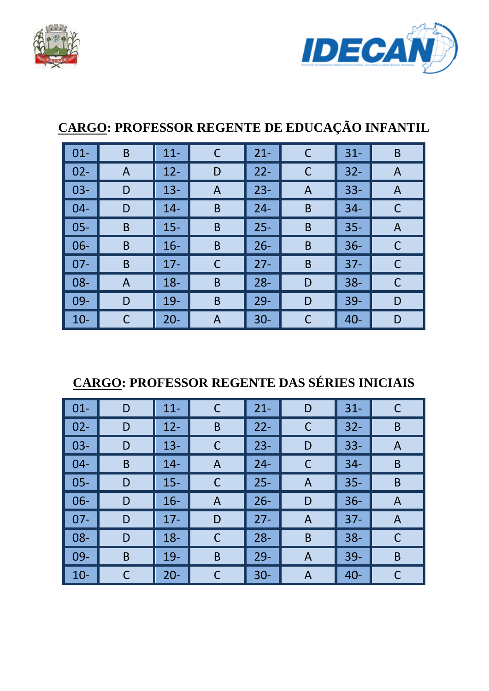



### **CARGO: PROFESSOR REGENTE DE EDUCAÇÃO INFANTIL**

| $\vert$ 01- | B | $11 -$ | С | $21 -$ | C            | $31 -$ | B |
|-------------|---|--------|---|--------|--------------|--------|---|
| $02 -$      | A | $12 -$ | D | $22 -$ | $\mathsf{C}$ | $32 -$ | A |
| $03 -$      | D | $13 -$ | A | $23 -$ | A            | $33 -$ | A |
| $04 -$      | D | $14 -$ | B | $24 -$ | B            | $34 -$ | C |
| $05 -$      | B | $15 -$ | B | $25 -$ | B            | $35 -$ | A |
| $06 -$      | B | $16 -$ | B | $26 -$ | B            | $36 -$ | C |
| $07 -$      | B | $17 -$ | С | $27 -$ | B            | $37 -$ | С |
| $08 -$      | A | $18 -$ | B | $28 -$ | D            | $38 -$ | C |
| $09 -$      | D | $19-$  | B | $29 -$ | D            | $39 -$ | D |
| $10 -$      | C | $20 -$ | A | $30 -$ | C            | $40 -$ | D |

### **CARGO: PROFESSOR REGENTE DAS SÉRIES INICIAIS**

| $\vert$ 01-     | D | $11 -$ | $\mathsf C$ | $21 -$ | D            | $31 -$ | C |
|-----------------|---|--------|-------------|--------|--------------|--------|---|
| $\parallel$ 02- | D | $12 -$ | B           | $22 -$ | $\mathsf{C}$ | $32 -$ | B |
| $\vert$ 03-     | D | $13 -$ | C           | $23 -$ | D            | $33 -$ | A |
| $\parallel$ 04- | B | $14 -$ | A           | $24 -$ | C            | $34-$  | B |
| $\vert$ 05-     | D | $15 -$ | C           | $25 -$ | A            | $35 -$ | B |
| $\vert$ 06-     | D | $16 -$ | A           | $26 -$ | D            | $36 -$ | A |
| $\parallel$ 07- | D | $17 -$ | D           | $27 -$ | A            | $37 -$ | A |
| $\vert$ 08-     | D | $18 -$ | $\mathsf C$ | $28 -$ | B            | $38 -$ | C |
| $\vert$ 09-     | B | $19-$  | B           | $29 -$ | A            | $39 -$ | B |
| $\vert$ 10-     |   | $20 -$ | C           | $30 -$ | A            | $40 -$ |   |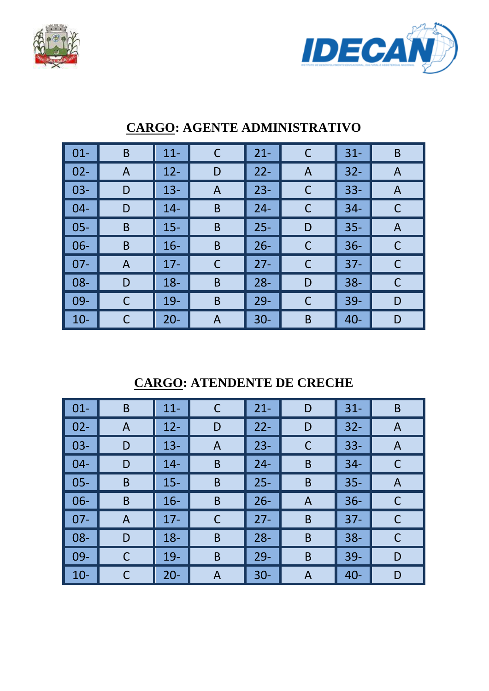



| $01 -$ | B | $11 -$ | $\mathsf C$ | $21 -$ | C | $31 -$ | B |
|--------|---|--------|-------------|--------|---|--------|---|
| $02 -$ | A | $12 -$ | D           | $22 -$ | A | $32 -$ | A |
| $03 -$ | D | $13 -$ | A           | $23 -$ | С | $33 -$ | A |
| $04 -$ | D | $14 -$ | B           | $24 -$ | С | $34 -$ | C |
| $05 -$ | B | $15 -$ | B           | $25 -$ | D | $35 -$ | A |
| 06-    | B | $16 -$ | B           | $26 -$ | С | $36 -$ | C |
| $07 -$ | A | $17 -$ | C           | $27 -$ | C | $37 -$ | C |
| $08 -$ | D | $18 -$ | B           | $28 -$ | D | $38 -$ | C |
| 09-    |   | $19 -$ | B           | $29 -$ | С | 39-    | D |
| $10 -$ | С | $20 -$ | A           | $30 -$ | B | $40 -$ | D |

#### **CARGO: AGENTE ADMINISTRATIVO**

**CARGO: ATENDENTE DE CRECHE** 

| $\vert$ 01-     | B | $11 -$ | С | $21 -$ | D | $31 -$ | B |
|-----------------|---|--------|---|--------|---|--------|---|
| $\vert$ 02-     | A | $12 -$ | D | $22 -$ | D | $32 -$ | A |
| $\vert$ 03-     | D | $13 -$ | A | $23 -$ | C | $33 -$ | A |
| $\parallel$ 04- | D | $14 -$ | B | $24 -$ | B | $34 -$ |   |
| $\vert$ 05-     | B | $15 -$ | B | $25 -$ | B | $35 -$ | A |
| $\vert$ 06-     | B | $16 -$ | B | $26 -$ | A | $36 -$ | C |
| $\vert$ 07-     | A | $17 -$ | C | $27 -$ | B | $37 -$ |   |
| $\vert$ 08-     | D | $18 -$ | B | $28 -$ | B | $38 -$ | C |
| $\parallel$ 09- | С | $19-$  | B | $29 -$ | B | $39 -$ | D |
| $\vert$ 10-     |   | $20 -$ | A | $30 -$ | A | $40 -$ | D |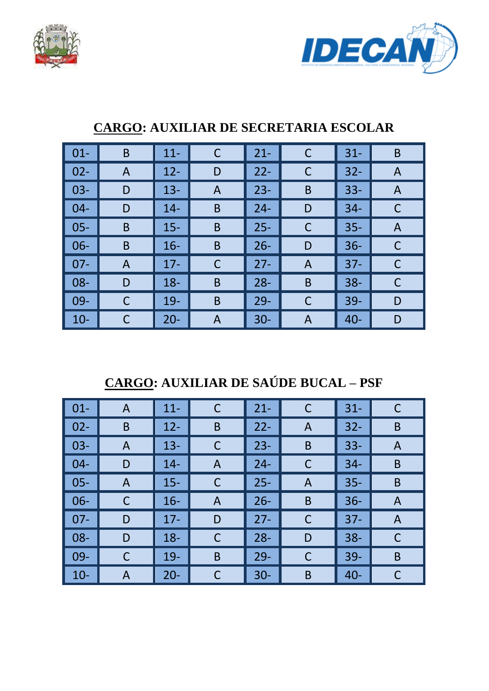



| $01 -$ | B | $11 -$ | $\mathsf C$ | $21 -$ | $\mathsf{C}$ | $31 -$ | B |
|--------|---|--------|-------------|--------|--------------|--------|---|
| $02 -$ | A | $12 -$ | D           | $22 -$ | C            | $32 -$ | A |
| $03 -$ | D | $13 -$ | A           | $23 -$ | B            | $33 -$ | A |
| $04 -$ | D | $14 -$ | B           | $24 -$ | D            | $34 -$ | С |
| $05 -$ | B | $15 -$ | B           | $25 -$ | $\mathsf C$  | $35 -$ | A |
| $06 -$ | B | $16 -$ | B           | $26 -$ | D            | $36 -$ |   |
| $07 -$ | A | $17 -$ | C           | $27 -$ | A            | $37 -$ | C |
| $08 -$ | D | $18 -$ | B           | $28 -$ | B            | $38 -$ | С |
| 09-    | C | $19 -$ | B           | $29 -$ | C            | $39 -$ | D |
| $10 -$ | C | $20 -$ | A           | $30 -$ | A            | $40 -$ | D |

#### **CARGO: AUXILIAR DE SECRETARIA ESCOLAR**

**CARGO: AUXILIAR DE SAÚDE BUCAL – PSF** 

| $\vert$ 01- | A | $11 -$ | C | $21 -$ | C | $31 -$ | C |
|-------------|---|--------|---|--------|---|--------|---|
| $\vert$ 02- | B | $12 -$ | B | $22 -$ | A | $32 -$ | B |
| $\vert$ 03- | A | $13 -$ | C | $23 -$ | B | $33 -$ | A |
| $\vert$ 04- | D | $14 -$ | A | $24 -$ | C | $34 -$ | B |
| $\vert$ 05- | A | $15 -$ | C | $25 -$ | A | $35 -$ | B |
| $\vert$ 06- |   | $16 -$ | A | $26 -$ | B | $36 -$ | A |
| $07 -$      | D | $17 -$ | D | $27 -$ | C | $37 -$ | A |
| $\vert$ 08- | D | $18 -$ | C | $28 -$ | D | $38 -$ | C |
| $\vert$ 09- |   | $19 -$ | B | $29 -$ | C | $39 -$ | B |
| $\vert$ 10- | A | $20 -$ | С | $30 -$ | B | $40 -$ | С |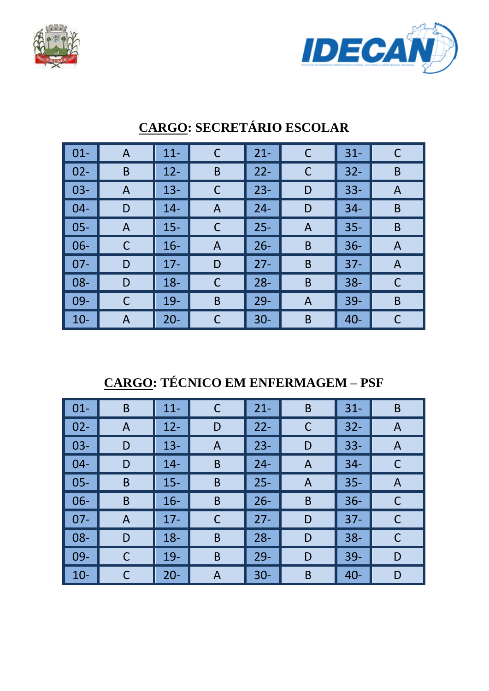



| $01 -$ | $\mathsf{A}$ | $11 -$ | C           | $21 -$ | C | $31 -$ |   |
|--------|--------------|--------|-------------|--------|---|--------|---|
| $02 -$ | B            | $12 -$ | B           | $22 -$ | C | $32 -$ | B |
| $03 -$ | A            | $13 -$ | C           | $23 -$ | D | $33 -$ | A |
| $04 -$ | D            | $14 -$ | A           | $24 -$ | D | $34-$  | B |
| $05 -$ | A            | $15 -$ | C           | $25 -$ | A | $35 -$ | B |
| $06 -$ | С            | $16 -$ | A           | $26 -$ | B | $36 -$ | A |
| $07 -$ | D            | $17 -$ | D           | $27 -$ | B | $37 -$ | A |
| $08 -$ | D            | $18 -$ | $\mathsf C$ | $28 -$ | B | $38 -$ | С |
| 09-    |              | $19 -$ | B           | $29 -$ | A | $39 -$ | B |
| $10-$  | A            | $20 -$ | C           | $30 -$ | B | $40 -$ |   |

## **CARGO: SECRETÁRIO ESCOLAR**

**CARGO: TÉCNICO EM ENFERMAGEM – PSF** 

| $\vert$ 01-     | B | $11 -$ | C | $21 -$ | B | $31 -$ | B |
|-----------------|---|--------|---|--------|---|--------|---|
| $\vert$ 02-     | A | $12 -$ | D | $22 -$ | C | $32 -$ | A |
| $\vert$ 03-     | D | $13 -$ | A | $23 -$ | D | $33 -$ | A |
| $\vert$ 04-     | D | $14 -$ | B | $24 -$ | A | $34 -$ | C |
| $\vert$ 05-     | B | $15 -$ | B | $25 -$ | A | $35 -$ | A |
| $\vert$ 06-     | B | $16 -$ | B | $26 -$ | B | $36 -$ | C |
| $\parallel$ 07- | A | $17 -$ | C | $27 -$ | D | $37 -$ | C |
| $\parallel$ 08- | D | $18 -$ | B | $28 -$ | D | $38 -$ | C |
| $\parallel$ 09- | C | $19 -$ | B | $29 -$ | D | $39 -$ | D |
| $\vert$ 10-     |   | $20 -$ | A | $30 -$ | B | $40 -$ | D |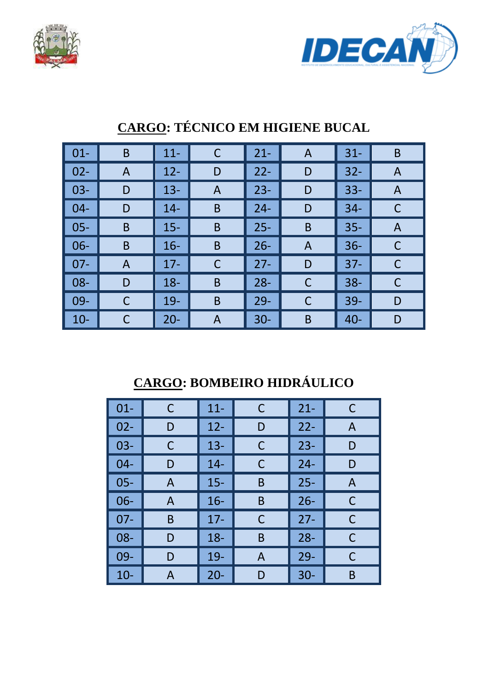



| $\vert$ 01-     | B | $11 -$ | C           | $21 -$ | A            | $31 -$ | B |
|-----------------|---|--------|-------------|--------|--------------|--------|---|
| $\vert$ 02-     | A | $12 -$ | D           | $22 -$ | D            | $32 -$ | A |
| $\vert$ 03-     | D | $13 -$ | A           | $23 -$ | D            | $33 -$ | A |
| $\vert$ 04-     | D | $14 -$ | $\mathsf B$ | $24 -$ | D            | $34-$  | С |
| $\vert$ 05-     | B | $15 -$ | B           | $25 -$ | B            | $35 -$ | A |
| $\vert$ 06-     | B | $16 -$ | B           | $26 -$ | A            | $36 -$ |   |
| $\parallel$ 07- | A | $17 -$ | $\mathsf C$ | $27 -$ | D            | $37 -$ | C |
| $\vert$ 08-     | D | $18 -$ | B           | $28 -$ | $\mathsf{C}$ | $38 -$ | C |
| $\vert$ 09-     |   | $19 -$ | B           | $29 -$ | C            | $39 -$ | D |
| $\vert$ 10-     |   | $20 -$ | A           | $30 -$ | B            | $40 -$ | D |

### **CARGO: TÉCNICO EM HIGIENE BUCAL**

## **CARGO: BOMBEIRO HIDRÁULICO**

| $01 -$ | C | $11 -$ | C | $21 -$ | Ċ |
|--------|---|--------|---|--------|---|
| $02 -$ | D | $12 -$ | D | $22 -$ | A |
| $03 -$ | C | $13 -$ | C | $23 -$ | D |
| $04 -$ | D | $14 -$ | С | $24 -$ | D |
| $05 -$ | A | $15 -$ | B | $25 -$ | A |
| $06 -$ | A | $16 -$ | B | $26 -$ | С |
| $07 -$ | B | $17-$  | C | $27 -$ | С |
| 08-    | D | $18 -$ | B | $28 -$ | C |
| 09-    | D | $19-$  | A | $29 -$ | C |
| $10-$  | A | $20 -$ | D | $30 -$ | B |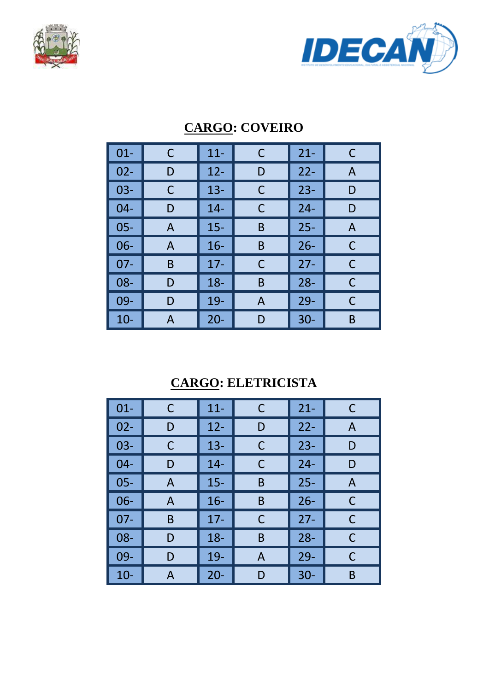



| $01 -$ | C | $11 -$ | С | $21 -$ | C |
|--------|---|--------|---|--------|---|
| $02 -$ | D | $12 -$ | D | $22 -$ | A |
| $03 -$ | C | $13 -$ | C | $23 -$ | D |
| $04 -$ | D | $14 -$ | C | $24 -$ | D |
| $05 -$ | A | $15 -$ | B | $25 -$ | A |
| $06 -$ | A | $16 -$ | B | $26 -$ | C |
| $07 -$ | B | $17 -$ | C | $27 -$ | С |
| $08 -$ | D | $18 -$ | B | $28 -$ | C |
| 09-    | D | $19-$  | A | $29-$  | C |
| $10-$  | A | $20 -$ | D | $30 -$ | B |

#### **CARGO: COVEIRO**

#### **CARGO: ELETRICISTA**

| $01 -$ | C            | $11 -$ | C | $21 -$ | C |
|--------|--------------|--------|---|--------|---|
| $02 -$ | D            | $12 -$ | D | $22 -$ | A |
| $03 -$ | С            | $13 -$ | С | $23 -$ | D |
| $04 -$ | D            | $14 -$ | С | $24 -$ | D |
| $05 -$ | A            | $15 -$ | B | $25 -$ | A |
| 06-    | $\mathsf{A}$ | $16 -$ | B | $26 -$ | C |
| $07 -$ | B            | $17 -$ | C | $27 -$ | C |
| 08-    | D            | $18 -$ | B | $28 -$ | C |
| 09-    | D            | $19-$  | A | $29 -$ | С |
| $10-$  | А            | $20 -$ | D | $30 -$ | B |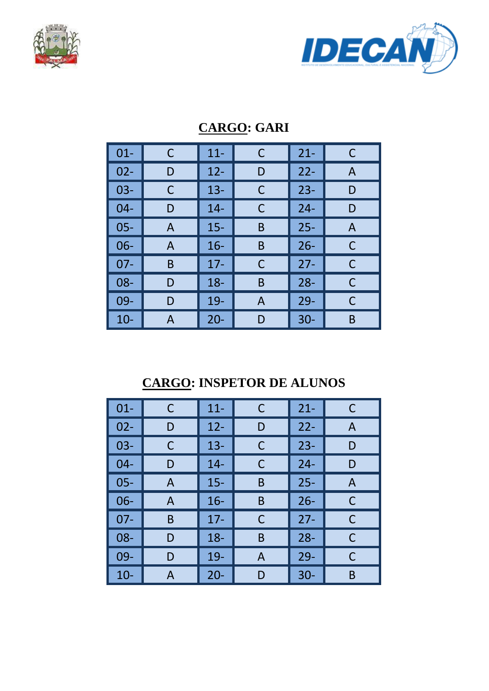



| $01 -$ | C | $11 -$ | $\mathsf{C}$ | $21 -$ | C |
|--------|---|--------|--------------|--------|---|
| $02 -$ | D | $12 -$ | D            | $22 -$ | A |
| $03 -$ | С | $13 -$ | C            | $23 -$ | D |
| $04 -$ | D | $14 -$ | C            | $24 -$ | D |
| $05 -$ | A | $15 -$ | B            | $25 -$ | A |
| $06 -$ | A | $16 -$ | B            | $26 -$ | С |
| $07 -$ | B | $17 -$ | C            | $27 -$ | C |
| 08-    | D | $18 -$ | B            | $28 -$ | C |
| 09-    | D | 19-    | A            | $29 -$ | С |
| $10-$  | А | $20 -$ | D            | $30 -$ | B |

#### **CARGO: GARI**

### **CARGO: INSPETOR DE ALUNOS**

| $01 -$ | C | $11 -$ | C | $21 -$ | C |
|--------|---|--------|---|--------|---|
| $02 -$ | D | $12 -$ | D | $22 -$ | A |
| $03 -$ | С | $13 -$ | C | $23 -$ | D |
| $04 -$ | D | $14 -$ | C | $24 -$ | D |
| $05 -$ | A | $15 -$ | B | $25 -$ | A |
| $06 -$ | A | $16 -$ | B | $26 -$ | С |
| $07 -$ | B | $17 -$ | C | $27 -$ | С |
| 08-    | D | $18 -$ | B | $28 -$ | C |
| 09-    | D | 19-    | A | $29 -$ | С |
| $10-$  | А | $20 -$ | D | $30 -$ | B |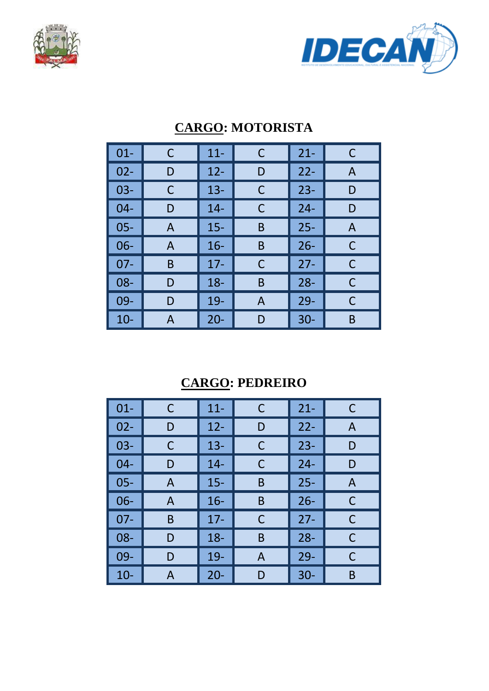



| $01 -$ | C | $11 -$ | C | $21 -$ | C |
|--------|---|--------|---|--------|---|
| $02 -$ | D | $12 -$ | D | $22 -$ | A |
| $03 -$ | С | $13 -$ | C | $23 -$ | D |
| $04 -$ | D | $14 -$ | C | $24 -$ | D |
| $05 -$ | A | $15 -$ | B | $25 -$ | A |
| $06-$  | A | $16 -$ | B | $26 -$ | C |
| $07 -$ | B | $17 -$ | C | $27 -$ | C |
| $08 -$ | D | $18 -$ | B | $28 -$ | С |
| 09-    | D | $19-$  | A | $29-$  | С |
| $10-$  | A | $20 -$ | D | $30 -$ | B |

#### **CARGO: MOTORISTA**

#### **CARGO: PEDREIRO**

| $01 -$ | C | $11 -$ | C | $21 -$ | C |
|--------|---|--------|---|--------|---|
| $02 -$ | D | $12 -$ | D | $22 -$ | A |
| $03 -$ | С | $13 -$ | С | $23 -$ | D |
| $04 -$ | D | $14 -$ | C | $24 -$ | D |
| $05 -$ | A | $15 -$ | B | $25 -$ | A |
| $06 -$ | A | $16 -$ | B | $26 -$ | C |
| $07 -$ | B | $17 -$ | C | $27 -$ | C |
| 08-    | D | $18 -$ | B | $28 -$ | C |
| 09-    | D | 19-    | A | $29 -$ | C |
| $10-$  | A | $20 -$ | D | $30 -$ | B |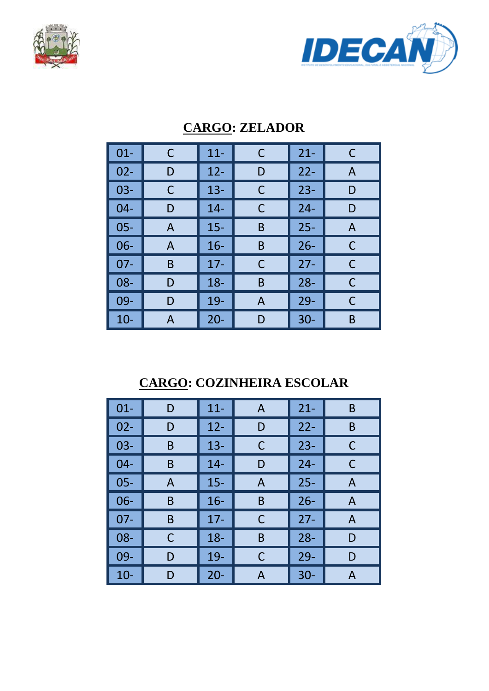



| $01 -$ | C | $11 -$ | C | $21 -$ | C |
|--------|---|--------|---|--------|---|
| $02 -$ | D | $12 -$ | D | $22 -$ | A |
| $03 -$ | С | $13 -$ | С | $23 -$ | D |
| $04 -$ | D | $14 -$ | C | $24 -$ | D |
| $05 -$ | A | $15 -$ | B | $25 -$ | A |
| $06 -$ | A | $16 -$ | B | $26 -$ | C |
| $07 -$ | B | $17 -$ | C | $27 -$ | C |
| $08 -$ | D | $18 -$ | B | $28 -$ | C |
| 09-    | D | $19-$  | A | $29-$  | C |
| $10 -$ | А | $20 -$ | D | $30 -$ | B |

#### **CARGO: ZELADOR**

### **CARGO: COZINHEIRA ESCOLAR**

| $01 -$ | D | $11 -$ | A | $21 -$ | B |
|--------|---|--------|---|--------|---|
| $02 -$ | D | $12 -$ | D | $22 -$ | B |
| $03 -$ | B | $13 -$ | C | $23 -$ | С |
| $04 -$ | B | $14 -$ | D | $24 -$ | C |
| $05 -$ | A | $15 -$ | A | $25 -$ | A |
| $06 -$ | B | $16 -$ | B | $26 -$ | A |
| $07 -$ | B | $17 -$ | С | $27 -$ | A |
| 08-    | C | $18 -$ | B | $28 -$ | D |
| 09-    | D | $19-$  | С | $29 -$ | D |
| $10-$  | D | $20 -$ | А | $30 -$ | А |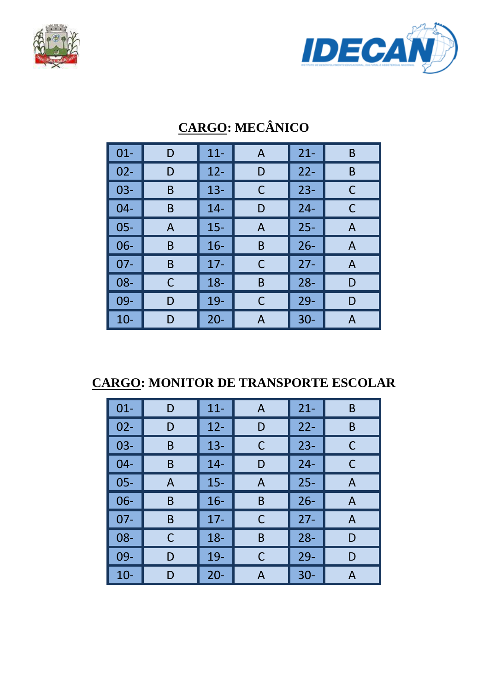



| $01 -$ | D | $11 -$ | $\mathsf{A}$ | $21 -$ | B |
|--------|---|--------|--------------|--------|---|
|        |   |        |              |        |   |
| $02 -$ | D | $12 -$ | D            | $22 -$ | B |
| $03 -$ | B | $13 -$ | С            | $23 -$ | C |
| $04 -$ | B | $14 -$ | D            | $24 -$ | C |
| $05 -$ | A | $15 -$ | A            | $25 -$ | A |
| $06 -$ | B | $16 -$ | B            | $26 -$ | A |
| $07 -$ | B | $17 -$ | C            | $27 -$ | A |
| 08-    | C | $18 -$ | B            | $28 -$ | D |
| 09-    | D | 19-    | C            | $29 -$ | D |
| $10 -$ | D | $20 -$ | Α            | $30 -$ | А |

## **CARGO: MECÂNICO**

**CARGO: MONITOR DE TRANSPORTE ESCOLAR** 

| $01 -$ | D | $11 -$ | A | $21 -$ | B            |
|--------|---|--------|---|--------|--------------|
| $02 -$ | D | $12 -$ | D | $22 -$ | B            |
| $03 -$ | B | $13 -$ | С | $23 -$ | C            |
| $04 -$ | B | $14 -$ | D | $24 -$ | C            |
| $05 -$ | A | $15 -$ | A | $25 -$ | $\mathsf{A}$ |
| $06 -$ | B | $16 -$ | B | $26 -$ | A            |
| $07 -$ | B | $17 -$ | C | $27 -$ | A            |
| $08 -$ | С | $18 -$ | B | $28 -$ | D            |
| $09 -$ | D | 19-    | C | $29 -$ | D            |
| $10 -$ | D | $20 -$ | Α | $30 -$ | А            |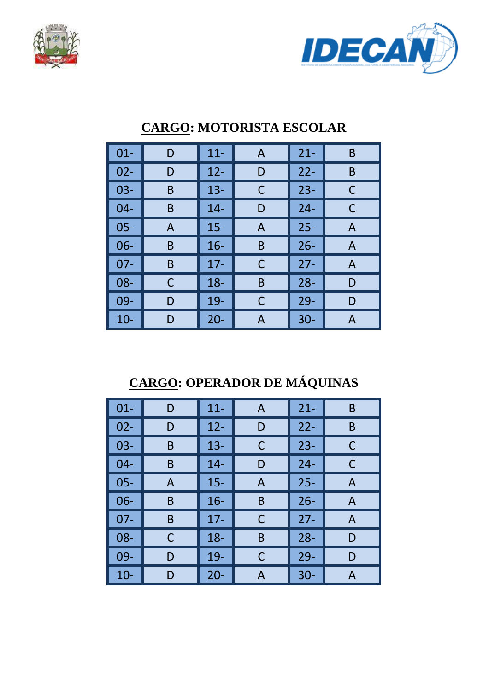



| $01 -$ | D | $11 -$ | A | $21 -$ | B |
|--------|---|--------|---|--------|---|
| $02 -$ | D | $12 -$ | D | $22 -$ | B |
| $03-$  | B | $13 -$ | C | $23 -$ | С |
| $04 -$ | B | $14 -$ | D | $24 -$ | C |
| 05-    | A | $15 -$ | A | $25 -$ | A |
| $06 -$ | B | $16 -$ | B | $26 -$ | A |
| $07 -$ | B | $17-$  | C | $27 -$ | A |
| 08-    | C | $18 -$ | B | $28 -$ | D |
| 09-    | D | 19-    | С | $29 -$ | D |
| $10 -$ | D | $20 -$ | А | $30 -$ | А |

#### **CARGO: MOTORISTA ESCOLAR**

## **CARGO: OPERADOR DE MÁQUINAS**

| $01 -$ | D | $11 -$ | A | $21 -$ | B |
|--------|---|--------|---|--------|---|
| $02 -$ | D | $12 -$ | D | $22 -$ | B |
| $03 -$ | B | $13 -$ | C | $23 -$ | С |
| $04 -$ | B | $14 -$ | D | $24 -$ | С |
| $05 -$ | A | $15 -$ | A | $25 -$ | A |
| $06 -$ | B | $16 -$ | Β | $26 -$ | A |
| $07 -$ | B | $17-$  | C | $27 -$ | A |
| 08-    | C | $18 -$ | B | $28 -$ | D |
| 09-    | D | 19-    | С | $29 -$ | D |
| $10-$  | D | $20 -$ | А | $30 -$ | А |